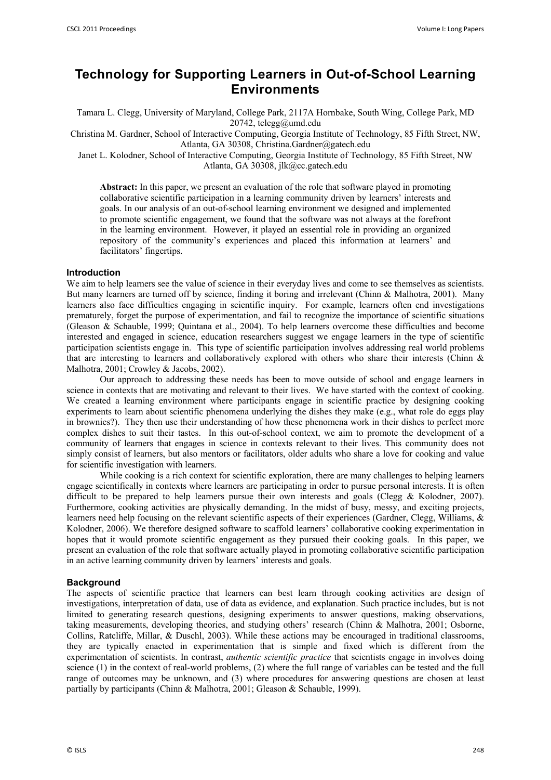# **Technology for Supporting Learners in Out-of-School Learning Environments**

Tamara L. Clegg, University of Maryland, College Park, 2117A Hornbake, South Wing, College Park, MD 20742, tclegg@umd.edu

Christina M. Gardner, School of Interactive Computing, Georgia Institute of Technology, 85 Fifth Street, NW, Atlanta, GA 30308, Christina.Gardner@gatech.edu

Janet L. Kolodner, School of Interactive Computing, Georgia Institute of Technology, 85 Fifth Street, NW Atlanta, GA 30308, jlk@cc.gatech.edu

**Abstract:** In this paper, we present an evaluation of the role that software played in promoting collaborative scientific participation in a learning community driven by learners' interests and goals. In our analysis of an out-of-school learning environment we designed and implemented to promote scientific engagement, we found that the software was not always at the forefront in the learning environment. However, it played an essential role in providing an organized repository of the community's experiences and placed this information at learners' and facilitators' fingertips.

#### **Introduction**

We aim to help learners see the value of science in their everyday lives and come to see themselves as scientists. But many learners are turned off by science, finding it boring and irrelevant (Chinn & Malhotra, 2001). Many learners also face difficulties engaging in scientific inquiry. For example, learners often end investigations prematurely, forget the purpose of experimentation, and fail to recognize the importance of scientific situations (Gleason & Schauble, 1999; Quintana et al., 2004). To help learners overcome these difficulties and become interested and engaged in science, education researchers suggest we engage learners in the type of scientific participation scientists engage in. This type of scientific participation involves addressing real world problems that are interesting to learners and collaboratively explored with others who share their interests (Chinn & Malhotra, 2001; Crowley & Jacobs, 2002).

Our approach to addressing these needs has been to move outside of school and engage learners in science in contexts that are motivating and relevant to their lives. We have started with the context of cooking. We created a learning environment where participants engage in scientific practice by designing cooking experiments to learn about scientific phenomena underlying the dishes they make (e.g., what role do eggs play in brownies?). They then use their understanding of how these phenomena work in their dishes to perfect more complex dishes to suit their tastes. In this out-of-school context, we aim to promote the development of a community of learners that engages in science in contexts relevant to their lives. This community does not simply consist of learners, but also mentors or facilitators, older adults who share a love for cooking and value for scientific investigation with learners.

While cooking is a rich context for scientific exploration, there are many challenges to helping learners engage scientifically in contexts where learners are participating in order to pursue personal interests. It is often difficult to be prepared to help learners pursue their own interests and goals (Clegg & Kolodner, 2007). Furthermore, cooking activities are physically demanding. In the midst of busy, messy, and exciting projects, learners need help focusing on the relevant scientific aspects of their experiences (Gardner, Clegg, Williams, & Kolodner, 2006). We therefore designed software to scaffold learners' collaborative cooking experimentation in hopes that it would promote scientific engagement as they pursued their cooking goals. In this paper, we present an evaluation of the role that software actually played in promoting collaborative scientific participation in an active learning community driven by learners' interests and goals.

#### **Background**

The aspects of scientific practice that learners can best learn through cooking activities are design of investigations, interpretation of data, use of data as evidence, and explanation. Such practice includes, but is not limited to generating research questions, designing experiments to answer questions, making observations, taking measurements, developing theories, and studying others' research (Chinn & Malhotra, 2001; Osborne, Collins, Ratcliffe, Millar, & Duschl, 2003). While these actions may be encouraged in traditional classrooms, they are typically enacted in experimentation that is simple and fixed which is different from the experimentation of scientists. In contrast, *authentic scientific practice* that scientists engage in involves doing science (1) in the context of real-world problems, (2) where the full range of variables can be tested and the full range of outcomes may be unknown, and (3) where procedures for answering questions are chosen at least partially by participants (Chinn & Malhotra, 2001; Gleason & Schauble, 1999).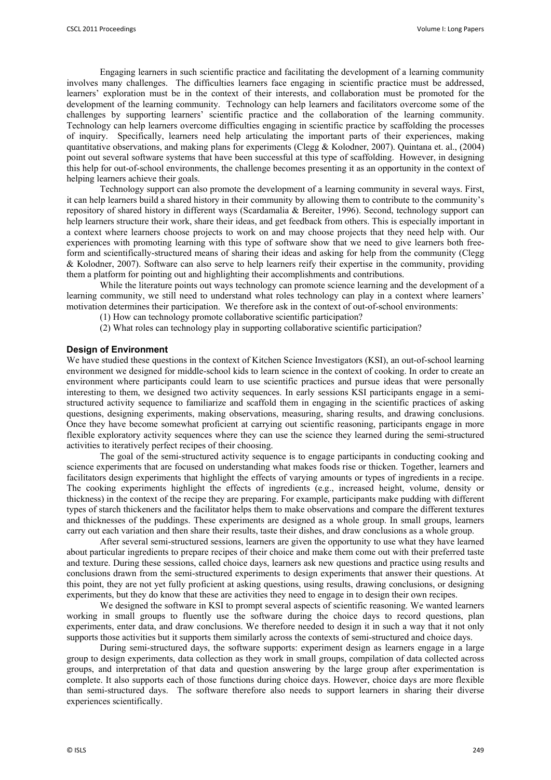Engaging learners in such scientific practice and facilitating the development of a learning community involves many challenges. The difficulties learners face engaging in scientific practice must be addressed, learners' exploration must be in the context of their interests, and collaboration must be promoted for the development of the learning community. Technology can help learners and facilitators overcome some of the challenges by supporting learners' scientific practice and the collaboration of the learning community. Technology can help learners overcome difficulties engaging in scientific practice by scaffolding the processes of inquiry. Specifically, learners need help articulating the important parts of their experiences, making quantitative observations, and making plans for experiments (Clegg & Kolodner, 2007). Quintana et. al., (2004) point out several software systems that have been successful at this type of scaffolding. However, in designing this help for out-of-school environments, the challenge becomes presenting it as an opportunity in the context of helping learners achieve their goals.

Technology support can also promote the development of a learning community in several ways. First, it can help learners build a shared history in their community by allowing them to contribute to the community's repository of shared history in different ways (Scardamalia & Bereiter, 1996). Second, technology support can help learners structure their work, share their ideas, and get feedback from others. This is especially important in a context where learners choose projects to work on and may choose projects that they need help with. Our experiences with promoting learning with this type of software show that we need to give learners both freeform and scientifically-structured means of sharing their ideas and asking for help from the community (Clegg & Kolodner, 2007). Software can also serve to help learners reify their expertise in the community, providing them a platform for pointing out and highlighting their accomplishments and contributions.

 While the literature points out ways technology can promote science learning and the development of a learning community, we still need to understand what roles technology can play in a context where learners' motivation determines their participation. We therefore ask in the context of out-of-school environments:

(1) How can technology promote collaborative scientific participation?

(2) What roles can technology play in supporting collaborative scientific participation?

#### **Design of Environment**

We have studied these questions in the context of Kitchen Science Investigators (KSI), an out-of-school learning environment we designed for middle-school kids to learn science in the context of cooking. In order to create an environment where participants could learn to use scientific practices and pursue ideas that were personally interesting to them, we designed two activity sequences. In early sessions KSI participants engage in a semistructured activity sequence to familiarize and scaffold them in engaging in the scientific practices of asking questions, designing experiments, making observations, measuring, sharing results, and drawing conclusions. Once they have become somewhat proficient at carrying out scientific reasoning, participants engage in more flexible exploratory activity sequences where they can use the science they learned during the semi-structured activities to iteratively perfect recipes of their choosing.

The goal of the semi-structured activity sequence is to engage participants in conducting cooking and science experiments that are focused on understanding what makes foods rise or thicken. Together, learners and facilitators design experiments that highlight the effects of varying amounts or types of ingredients in a recipe. The cooking experiments highlight the effects of ingredients (e.g., increased height, volume, density or thickness) in the context of the recipe they are preparing. For example, participants make pudding with different types of starch thickeners and the facilitator helps them to make observations and compare the different textures and thicknesses of the puddings. These experiments are designed as a whole group. In small groups, learners carry out each variation and then share their results, taste their dishes, and draw conclusions as a whole group.

After several semi-structured sessions, learners are given the opportunity to use what they have learned about particular ingredients to prepare recipes of their choice and make them come out with their preferred taste and texture. During these sessions, called choice days, learners ask new questions and practice using results and conclusions drawn from the semi-structured experiments to design experiments that answer their questions. At this point, they are not yet fully proficient at asking questions, using results, drawing conclusions, or designing experiments, but they do know that these are activities they need to engage in to design their own recipes.

We designed the software in KSI to prompt several aspects of scientific reasoning. We wanted learners working in small groups to fluently use the software during the choice days to record questions, plan experiments, enter data, and draw conclusions. We therefore needed to design it in such a way that it not only supports those activities but it supports them similarly across the contexts of semi-structured and choice days.

During semi-structured days, the software supports: experiment design as learners engage in a large group to design experiments, data collection as they work in small groups, compilation of data collected across groups, and interpretation of that data and question answering by the large group after experimentation is complete. It also supports each of those functions during choice days. However, choice days are more flexible than semi-structured days. The software therefore also needs to support learners in sharing their diverse experiences scientifically.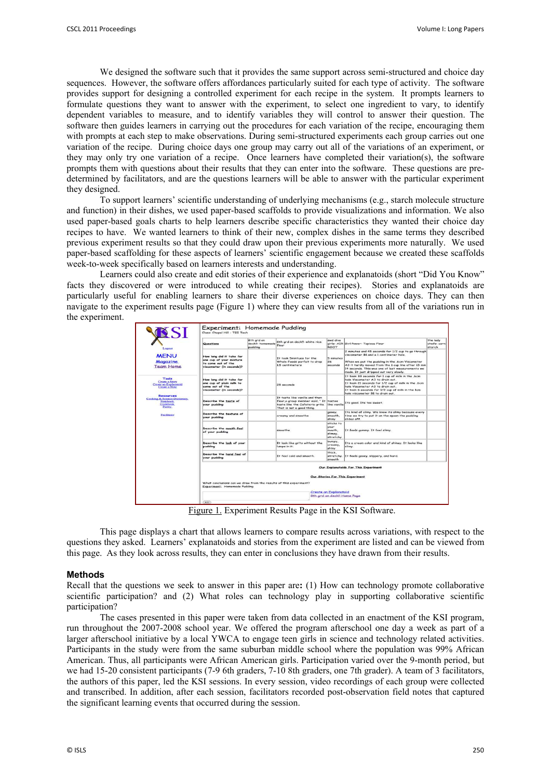We designed the software such that it provides the same support across semi-structured and choice day sequences. However, the software offers affordances particularly suited for each type of activity. The software provides support for designing a controlled experiment for each recipe in the system. It prompts learners to formulate questions they want to answer with the experiment, to select one ingredient to vary, to identify dependent variables to measure, and to identify variables they will control to answer their question. The software then guides learners in carrying out the procedures for each variation of the recipe, encouraging them with prompts at each step to make observations. During semi-structured experiments each group carries out one variation of the recipe. During choice days one group may carry out all of the variations of an experiment, or they may only try one variation of a recipe. Once learners have completed their variation(s), the software prompts them with questions about their results that they can enter into the software. These questions are predetermined by facilitators, and are the questions learners will be able to answer with the particular experiment they designed.

To support learners' scientific understanding of underlying mechanisms (e.g., starch molecule structure and function) in their dishes, we used paper-based scaffolds to provide visualizations and information. We also used paper-based goals charts to help learners describe specific characteristics they wanted their choice day recipes to have. We wanted learners to think of their new, complex dishes in the same terms they described previous experiment results so that they could draw upon their previous experiments more naturally. We used paper-based scaffolding for these aspects of learners' scientific engagement because we created these scaffolds week-to-week specifically based on learners interests and understanding.

Learners could also create and edit stories of their experience and explanatoids (short "Did You Know" facts they discovered or were introduced to while creating their recipes). Stories and explanatoids are particularly useful for enabling learners to share their diverse experiences on choice days. They can then navigate to the experiment results page (Figure 1) where they can view results from all of the variations run in the experiment.

| VSSI<br>Logout                                                                                   | Questions                                                                                             | 8th and on<br>deckil: homemade<br>pudding | 8th ard on deck!!: white rice<br>flour                                                                                                                | swd diva<br><b>ROOT</b>                            | girlz: AIR Girl Power: Tapioca Flour                                                                                                                                                                                                                                                                | the lady<br>chefs: corni<br>starch |  |
|--------------------------------------------------------------------------------------------------|-------------------------------------------------------------------------------------------------------|-------------------------------------------|-------------------------------------------------------------------------------------------------------------------------------------------------------|----------------------------------------------------|-----------------------------------------------------------------------------------------------------------------------------------------------------------------------------------------------------------------------------------------------------------------------------------------------------|------------------------------------|--|
| <b>MENU</b><br><b>Magazine</b><br><b>Team Home</b>                                               | How long did it take for<br>one cup of your mixture<br>to come out of the<br>viscometer (in seconds)? |                                           | It took Smintues for the<br>Whole Foods parfait to drop<br>1.5 centimeters                                                                            | 5 minutes<br>26<br>seconds                         | 2 minutes and 45 seconds for 1/2 cup to go through<br>viscometer B1 and a 1 centimeter hole.<br>When we put the pudding in the .6cm Viscometer<br>A3 it hardly moved from the 1 cup line after 15 min<br>14 seconds. This was one of last measurements we<br>made. It just dripped out very slowly. |                                    |  |
| Tools<br><b>Create a Story</b><br>Create an Explanatoid<br>Create a Note                         | How long did it take for<br>one cup of plain milk to<br>come out of the<br>viscometer (in seconds)?   |                                           | 28 seconds                                                                                                                                            |                                                    | It took 33 seconds for 1 cup of milk in the .6cm<br>hole Viscometer A3 to drain out.<br>It took 21 seconds for 1/2 cup of milk in the .6cm<br>hole Viscometer A3 to drain out.<br>It took 6 seconds for 1/2 cup of milk in the 1cm<br>hole viscometer B1 to drain out.                              |                                    |  |
| <b>Resources</b><br>Cooking & Science Dictionary<br><b>Notebook</b><br>Cookbook<br><b>Pantry</b> | Describe the taste of<br>your pudding                                                                 |                                           | It taste like vanilla and then<br>flour a group member said. " It tastes<br>taste like the Cafeteria grits. like vanilla<br>That is not a good thing. |                                                    | Its good. Its too sweet.                                                                                                                                                                                                                                                                            |                                    |  |
| <b>Facilitator</b>                                                                               | <b>Describe the texture of</b><br>your pudding                                                        |                                           | creamy and smoothe.                                                                                                                                   | gooey.<br>smooth.<br>shiny                         | Its kind of slimy. We know its slimy because every<br>time we try to put it on the spoon the pudding<br>slides off.                                                                                                                                                                                 |                                    |  |
|                                                                                                  | Describe the mouth feel<br>of your pudding                                                            |                                           | smoothe                                                                                                                                               | sticks to<br>your<br>mouth.<br>slimey.<br>stratchy | It feels gummy. It feel slimy.                                                                                                                                                                                                                                                                      |                                    |  |
|                                                                                                  | Describe the look of your<br>pudding                                                                  |                                           | It look like grits without the<br>lumps in it.                                                                                                        | bumpy,<br>creamy.<br>shiny                         | Its a cream color and kind of shiney. It looks like<br>slimy.                                                                                                                                                                                                                                       |                                    |  |
|                                                                                                  | Describe the hand feel of<br>your pudding                                                             |                                           | It feel cold and smooth.                                                                                                                              | thick.<br>smooth                                   | stretchy. It feels goney, slippery, and hard.                                                                                                                                                                                                                                                       |                                    |  |
|                                                                                                  | Our Explanatoids For This Experiment<br>Our Stories For This Experiment                               |                                           |                                                                                                                                                       |                                                    |                                                                                                                                                                                                                                                                                                     |                                    |  |
|                                                                                                  | What conclusions can we draw from the results of this experiment?<br>Experiment: Homemade Pudding     |                                           |                                                                                                                                                       |                                                    |                                                                                                                                                                                                                                                                                                     |                                    |  |
|                                                                                                  | <b>Create an Explanatoid</b><br>8th and on deck!! Home Page                                           |                                           |                                                                                                                                                       |                                                    |                                                                                                                                                                                                                                                                                                     |                                    |  |

Figure 1. Experiment Results Page in the KSI Software.

This page displays a chart that allows learners to compare results across variations, with respect to the questions they asked. Learners' explanatoids and stories from the experiment are listed and can be viewed from this page. As they look across results, they can enter in conclusions they have drawn from their results.

#### **Methods**

Recall that the questions we seek to answer in this paper are**:** (1) How can technology promote collaborative scientific participation? and (2) What roles can technology play in supporting collaborative scientific participation?

The cases presented in this paper were taken from data collected in an enactment of the KSI program, run throughout the 2007-2008 school year. We offered the program afterschool one day a week as part of a larger afterschool initiative by a local YWCA to engage teen girls in science and technology related activities. Participants in the study were from the same suburban middle school where the population was 99% African American. Thus, all participants were African American girls. Participation varied over the 9-month period, but we had 15-20 consistent participants (7-9 6th graders, 7-10 8th graders, one 7th grader). A team of 3 facilitators, the authors of this paper, led the KSI sessions. In every session, video recordings of each group were collected and transcribed. In addition, after each session, facilitators recorded post-observation field notes that captured the significant learning events that occurred during the session.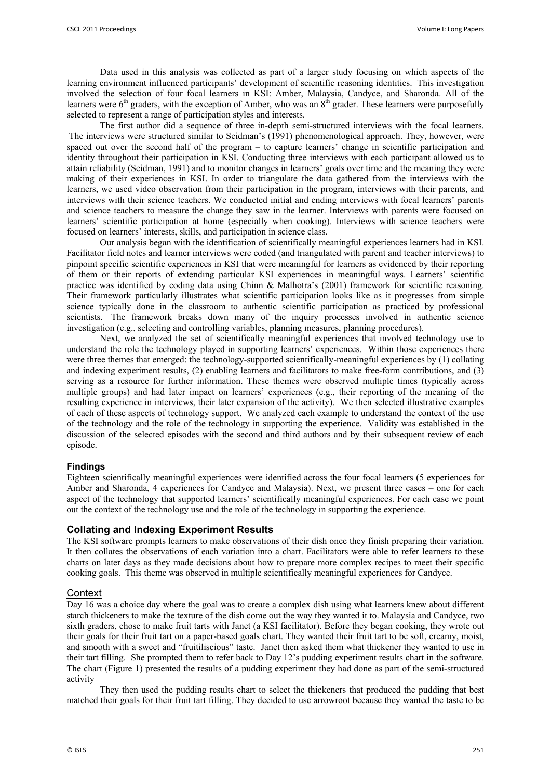Data used in this analysis was collected as part of a larger study focusing on which aspects of the learning environment influenced participants' development of scientific reasoning identities. This investigation involved the selection of four focal learners in KSI: Amber, Malaysia, Candyce, and Sharonda. All of the learners were  $6<sup>th</sup>$  graders, with the exception of Amber, who was an  $8<sup>th</sup>$  grader. These learners were purposefully selected to represent a range of participation styles and interests.

The first author did a sequence of three in-depth semi-structured interviews with the focal learners. The interviews were structured similar to Seidman's (1991) phenomenological approach. They, however, were spaced out over the second half of the program – to capture learners' change in scientific participation and identity throughout their participation in KSI. Conducting three interviews with each participant allowed us to attain reliability (Seidman, 1991) and to monitor changes in learners' goals over time and the meaning they were making of their experiences in KSI. In order to triangulate the data gathered from the interviews with the learners, we used video observation from their participation in the program, interviews with their parents, and interviews with their science teachers. We conducted initial and ending interviews with focal learners' parents and science teachers to measure the change they saw in the learner. Interviews with parents were focused on learners' scientific participation at home (especially when cooking). Interviews with science teachers were focused on learners' interests, skills, and participation in science class.

Our analysis began with the identification of scientifically meaningful experiences learners had in KSI. Facilitator field notes and learner interviews were coded (and triangulated with parent and teacher interviews) to pinpoint specific scientific experiences in KSI that were meaningful for learners as evidenced by their reporting of them or their reports of extending particular KSI experiences in meaningful ways. Learners' scientific practice was identified by coding data using Chinn & Malhotra's (2001) framework for scientific reasoning. Their framework particularly illustrates what scientific participation looks like as it progresses from simple science typically done in the classroom to authentic scientific participation as practiced by professional scientists. The framework breaks down many of the inquiry processes involved in authentic science investigation (e.g., selecting and controlling variables, planning measures, planning procedures).

Next, we analyzed the set of scientifically meaningful experiences that involved technology use to understand the role the technology played in supporting learners' experiences. Within those experiences there were three themes that emerged: the technology-supported scientifically-meaningful experiences by (1) collating and indexing experiment results, (2) enabling learners and facilitators to make free-form contributions, and (3) serving as a resource for further information. These themes were observed multiple times (typically across multiple groups) and had later impact on learners' experiences (e.g., their reporting of the meaning of the resulting experience in interviews, their later expansion of the activity). We then selected illustrative examples of each of these aspects of technology support. We analyzed each example to understand the context of the use of the technology and the role of the technology in supporting the experience. Validity was established in the discussion of the selected episodes with the second and third authors and by their subsequent review of each episode.

# **Findings**

Eighteen scientifically meaningful experiences were identified across the four focal learners (5 experiences for Amber and Sharonda, 4 experiences for Candyce and Malaysia). Next, we present three cases – one for each aspect of the technology that supported learners' scientifically meaningful experiences. For each case we point out the context of the technology use and the role of the technology in supporting the experience.

# **Collating and Indexing Experiment Results**

The KSI software prompts learners to make observations of their dish once they finish preparing their variation. It then collates the observations of each variation into a chart. Facilitators were able to refer learners to these charts on later days as they made decisions about how to prepare more complex recipes to meet their specific cooking goals. This theme was observed in multiple scientifically meaningful experiences for Candyce.

# **Context**

Day 16 was a choice day where the goal was to create a complex dish using what learners knew about different starch thickeners to make the texture of the dish come out the way they wanted it to. Malaysia and Candyce, two sixth graders, chose to make fruit tarts with Janet (a KSI facilitator). Before they began cooking, they wrote out their goals for their fruit tart on a paper-based goals chart. They wanted their fruit tart to be soft, creamy, moist, and smooth with a sweet and "fruitiliscious" taste. Janet then asked them what thickener they wanted to use in their tart filling. She prompted them to refer back to Day 12's pudding experiment results chart in the software. The chart (Figure 1) presented the results of a pudding experiment they had done as part of the semi-structured activity

They then used the pudding results chart to select the thickeners that produced the pudding that best matched their goals for their fruit tart filling. They decided to use arrowroot because they wanted the taste to be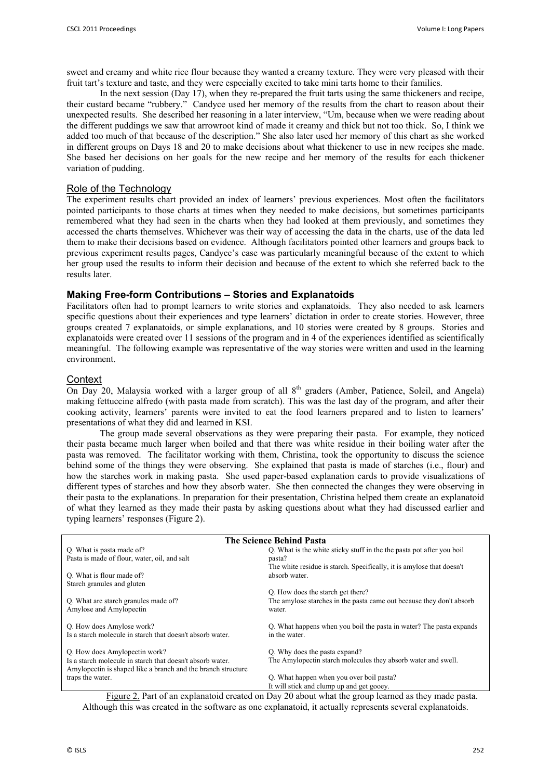sweet and creamy and white rice flour because they wanted a creamy texture. They were very pleased with their fruit tart's texture and taste, and they were especially excited to take mini tarts home to their families.

In the next session (Day 17), when they re-prepared the fruit tarts using the same thickeners and recipe, their custard became "rubbery." Candyce used her memory of the results from the chart to reason about their unexpected results. She described her reasoning in a later interview, "Um, because when we were reading about the different puddings we saw that arrowroot kind of made it creamy and thick but not too thick. So, I think we added too much of that because of the description." She also later used her memory of this chart as she worked in different groups on Days 18 and 20 to make decisions about what thickener to use in new recipes she made. She based her decisions on her goals for the new recipe and her memory of the results for each thickener variation of pudding.

# Role of the Technology

The experiment results chart provided an index of learners' previous experiences. Most often the facilitators pointed participants to those charts at times when they needed to make decisions, but sometimes participants remembered what they had seen in the charts when they had looked at them previously, and sometimes they accessed the charts themselves. Whichever was their way of accessing the data in the charts, use of the data led them to make their decisions based on evidence. Although facilitators pointed other learners and groups back to previous experiment results pages, Candyce's case was particularly meaningful because of the extent to which her group used the results to inform their decision and because of the extent to which she referred back to the results later.

## **Making Free-form Contributions – Stories and Explanatoids**

Facilitators often had to prompt learners to write stories and explanatoids. They also needed to ask learners specific questions about their experiences and type learners' dictation in order to create stories. However, three groups created 7 explanatoids, or simple explanations, and 10 stories were created by 8 groups. Stories and explanatoids were created over 11 sessions of the program and in 4 of the experiences identified as scientifically meaningful. The following example was representative of the way stories were written and used in the learning environment.

#### **Context**

On Day 20, Malaysia worked with a larger group of all  $8<sup>th</sup>$  graders (Amber, Patience, Soleil, and Angela) making fettuccine alfredo (with pasta made from scratch). This was the last day of the program, and after their cooking activity, learners' parents were invited to eat the food learners prepared and to listen to learners' presentations of what they did and learned in KSI.

The group made several observations as they were preparing their pasta. For example, they noticed their pasta became much larger when boiled and that there was white residue in their boiling water after the pasta was removed. The facilitator working with them, Christina, took the opportunity to discuss the science behind some of the things they were observing. She explained that pasta is made of starches (i.e., flour) and how the starches work in making pasta. She used paper-based explanation cards to provide visualizations of different types of starches and how they absorb water. She then connected the changes they were observing in their pasta to the explanations. In preparation for their presentation, Christina helped them create an explanatoid of what they learned as they made their pasta by asking questions about what they had discussed earlier and typing learners' responses (Figure 2).

| The Science Behind Pasta                                                                                      |                                                                       |  |  |  |
|---------------------------------------------------------------------------------------------------------------|-----------------------------------------------------------------------|--|--|--|
| Q. What is pasta made of?                                                                                     | Q. What is the white sticky stuff in the the pasta pot after you boil |  |  |  |
| Pasta is made of flour, water, oil, and salt                                                                  | pasta?                                                                |  |  |  |
|                                                                                                               | The white residue is starch. Specifically, it is amylose that doesn't |  |  |  |
| O. What is flour made of?                                                                                     | absorb water.                                                         |  |  |  |
| Starch granules and gluten                                                                                    |                                                                       |  |  |  |
|                                                                                                               | O. How does the starch get there?                                     |  |  |  |
| Q. What are starch granules made of?                                                                          | The amylose starches in the pasta came out because they don't absorb  |  |  |  |
| Amylose and Amylopectin                                                                                       | water.                                                                |  |  |  |
| Q. How does Amylose work?                                                                                     | Q. What happens when you boil the pasta in water? The pasta expands   |  |  |  |
| Is a starch molecule in starch that doesn't absorb water.                                                     | in the water.                                                         |  |  |  |
| Q. How does Amylopectin work?                                                                                 | Q. Why does the pasta expand?                                         |  |  |  |
| Is a starch molecule in starch that doesn't absorb water.                                                     | The Amylopectin starch molecules they absorb water and swell.         |  |  |  |
| Amylopectin is shaped like a branch and the branch structure                                                  |                                                                       |  |  |  |
| traps the water.                                                                                              | Q. What happen when you over boil pasta?                              |  |  |  |
|                                                                                                               | It will stick and clump up and get gooey.                             |  |  |  |
| $E_{\text{GUP2}}$ 2. Dort of an evalencted exected on Day 20 shout what the group learned as they made nector |                                                                       |  |  |  |

Figure 2. Part of an explanatoid created on Day 20 about what the group learned as they made pasta. Although this was created in the software as one explanatoid, it actually represents several explanatoids.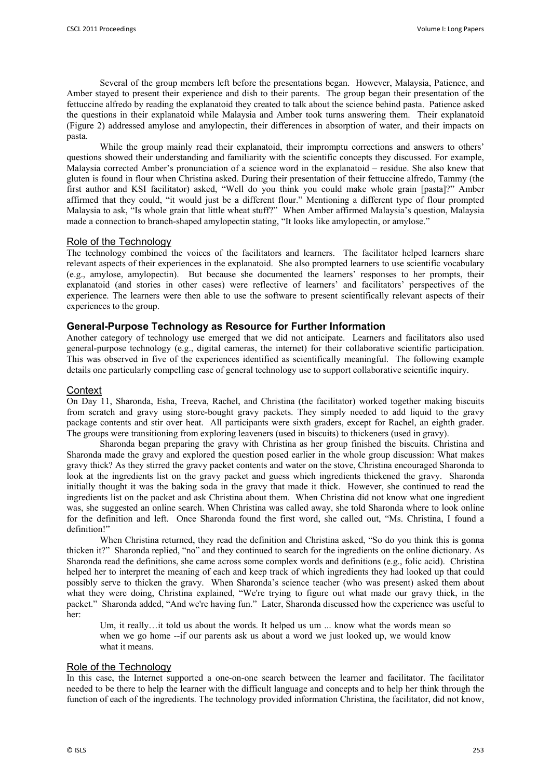Several of the group members left before the presentations began. However, Malaysia, Patience, and Amber stayed to present their experience and dish to their parents. The group began their presentation of the fettuccine alfredo by reading the explanatoid they created to talk about the science behind pasta. Patience asked the questions in their explanatoid while Malaysia and Amber took turns answering them. Their explanatoid (Figure 2) addressed amylose and amylopectin, their differences in absorption of water, and their impacts on pasta.

While the group mainly read their explanatoid, their impromptu corrections and answers to others' questions showed their understanding and familiarity with the scientific concepts they discussed. For example, Malaysia corrected Amber's pronunciation of a science word in the explanatoid – residue. She also knew that gluten is found in flour when Christina asked. During their presentation of their fettuccine alfredo, Tammy (the first author and KSI facilitator) asked, "Well do you think you could make whole grain [pasta]?" Amber affirmed that they could, "it would just be a different flour." Mentioning a different type of flour prompted Malaysia to ask, "Is whole grain that little wheat stuff?" When Amber affirmed Malaysia's question, Malaysia made a connection to branch-shaped amylopectin stating, "It looks like amylopectin, or amylose."

# Role of the Technology

The technology combined the voices of the facilitators and learners. The facilitator helped learners share relevant aspects of their experiences in the explanatoid. She also prompted learners to use scientific vocabulary (e.g., amylose, amylopectin). But because she documented the learners' responses to her prompts, their explanatoid (and stories in other cases) were reflective of learners' and facilitators' perspectives of the experience. The learners were then able to use the software to present scientifically relevant aspects of their experiences to the group.

## **General-Purpose Technology as Resource for Further Information**

Another category of technology use emerged that we did not anticipate. Learners and facilitators also used general-purpose technology (e.g., digital cameras, the internet) for their collaborative scientific participation. This was observed in five of the experiences identified as scientifically meaningful. The following example details one particularly compelling case of general technology use to support collaborative scientific inquiry.

#### **Context**

On Day 11, Sharonda, Esha, Treeva, Rachel, and Christina (the facilitator) worked together making biscuits from scratch and gravy using store-bought gravy packets. They simply needed to add liquid to the gravy package contents and stir over heat. All participants were sixth graders, except for Rachel, an eighth grader. The groups were transitioning from exploring leaveners (used in biscuits) to thickeners (used in gravy).

Sharonda began preparing the gravy with Christina as her group finished the biscuits. Christina and Sharonda made the gravy and explored the question posed earlier in the whole group discussion: What makes gravy thick? As they stirred the gravy packet contents and water on the stove, Christina encouraged Sharonda to look at the ingredients list on the gravy packet and guess which ingredients thickened the gravy. Sharonda initially thought it was the baking soda in the gravy that made it thick. However, she continued to read the ingredients list on the packet and ask Christina about them. When Christina did not know what one ingredient was, she suggested an online search. When Christina was called away, she told Sharonda where to look online for the definition and left. Once Sharonda found the first word, she called out, "Ms. Christina, I found a definition!"

When Christina returned, they read the definition and Christina asked, "So do you think this is gonna thicken it?" Sharonda replied, "no" and they continued to search for the ingredients on the online dictionary. As Sharonda read the definitions, she came across some complex words and definitions (e.g., folic acid). Christina helped her to interpret the meaning of each and keep track of which ingredients they had looked up that could possibly serve to thicken the gravy. When Sharonda's science teacher (who was present) asked them about what they were doing, Christina explained, "We're trying to figure out what made our gravy thick, in the packet." Sharonda added, "And we're having fun." Later, Sharonda discussed how the experience was useful to her:

Um, it really...it told us about the words. It helped us um ... know what the words mean so when we go home --if our parents ask us about a word we just looked up, we would know what it means.

#### Role of the Technology

In this case, the Internet supported a one-on-one search between the learner and facilitator. The facilitator needed to be there to help the learner with the difficult language and concepts and to help her think through the function of each of the ingredients. The technology provided information Christina, the facilitator, did not know,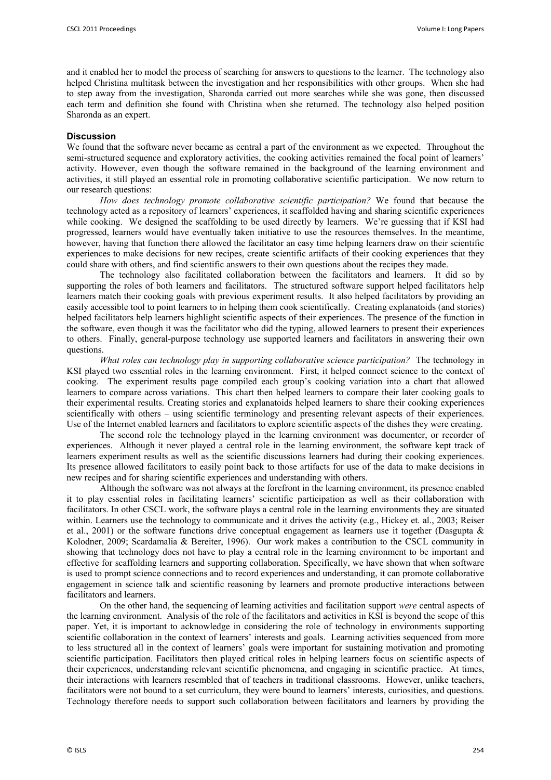and it enabled her to model the process of searching for answers to questions to the learner. The technology also helped Christina multitask between the investigation and her responsibilities with other groups. When she had to step away from the investigation, Sharonda carried out more searches while she was gone, then discussed each term and definition she found with Christina when she returned. The technology also helped position Sharonda as an expert.

# **Discussion**

We found that the software never became as central a part of the environment as we expected. Throughout the semi-structured sequence and exploratory activities, the cooking activities remained the focal point of learners' activity. However, even though the software remained in the background of the learning environment and activities, it still played an essential role in promoting collaborative scientific participation. We now return to our research questions:

*How does technology promote collaborative scientific participation?* We found that because the technology acted as a repository of learners' experiences, it scaffolded having and sharing scientific experiences while cooking. We designed the scaffolding to be used directly by learners. We're guessing that if KSI had progressed, learners would have eventually taken initiative to use the resources themselves. In the meantime, however, having that function there allowed the facilitator an easy time helping learners draw on their scientific experiences to make decisions for new recipes, create scientific artifacts of their cooking experiences that they could share with others, and find scientific answers to their own questions about the recipes they made.

The technology also facilitated collaboration between the facilitators and learners. It did so by supporting the roles of both learners and facilitators. The structured software support helped facilitators help learners match their cooking goals with previous experiment results. It also helped facilitators by providing an easily accessible tool to point learners to in helping them cook scientifically. Creating explanatoids (and stories) helped facilitators help learners highlight scientific aspects of their experiences. The presence of the function in the software, even though it was the facilitator who did the typing, allowed learners to present their experiences to others. Finally, general-purpose technology use supported learners and facilitators in answering their own questions.

*What roles can technology play in supporting collaborative science participation?* The technology in KSI played two essential roles in the learning environment. First, it helped connect science to the context of cooking. The experiment results page compiled each group's cooking variation into a chart that allowed learners to compare across variations. This chart then helped learners to compare their later cooking goals to their experimental results. Creating stories and explanatoids helped learners to share their cooking experiences scientifically with others – using scientific terminology and presenting relevant aspects of their experiences. Use of the Internet enabled learners and facilitators to explore scientific aspects of the dishes they were creating.

The second role the technology played in the learning environment was documenter, or recorder of experiences. Although it never played a central role in the learning environment, the software kept track of learners experiment results as well as the scientific discussions learners had during their cooking experiences. Its presence allowed facilitators to easily point back to those artifacts for use of the data to make decisions in new recipes and for sharing scientific experiences and understanding with others.

 Although the software was not always at the forefront in the learning environment, its presence enabled it to play essential roles in facilitating learners' scientific participation as well as their collaboration with facilitators. In other CSCL work, the software plays a central role in the learning environments they are situated within. Learners use the technology to communicate and it drives the activity (e.g., Hickey et. al., 2003; Reiser et al., 2001) or the software functions drive conceptual engagement as learners use it together (Dasgupta & Kolodner, 2009; Scardamalia & Bereiter, 1996). Our work makes a contribution to the CSCL community in showing that technology does not have to play a central role in the learning environment to be important and effective for scaffolding learners and supporting collaboration. Specifically, we have shown that when software is used to prompt science connections and to record experiences and understanding, it can promote collaborative engagement in science talk and scientific reasoning by learners and promote productive interactions between facilitators and learners.

 On the other hand, the sequencing of learning activities and facilitation support *were* central aspects of the learning environment. Analysis of the role of the facilitators and activities in KSI is beyond the scope of this paper. Yet, it is important to acknowledge in considering the role of technology in environments supporting scientific collaboration in the context of learners' interests and goals. Learning activities sequenced from more to less structured all in the context of learners' goals were important for sustaining motivation and promoting scientific participation. Facilitators then played critical roles in helping learners focus on scientific aspects of their experiences, understanding relevant scientific phenomena, and engaging in scientific practice. At times, their interactions with learners resembled that of teachers in traditional classrooms. However, unlike teachers, facilitators were not bound to a set curriculum, they were bound to learners' interests, curiosities, and questions. Technology therefore needs to support such collaboration between facilitators and learners by providing the